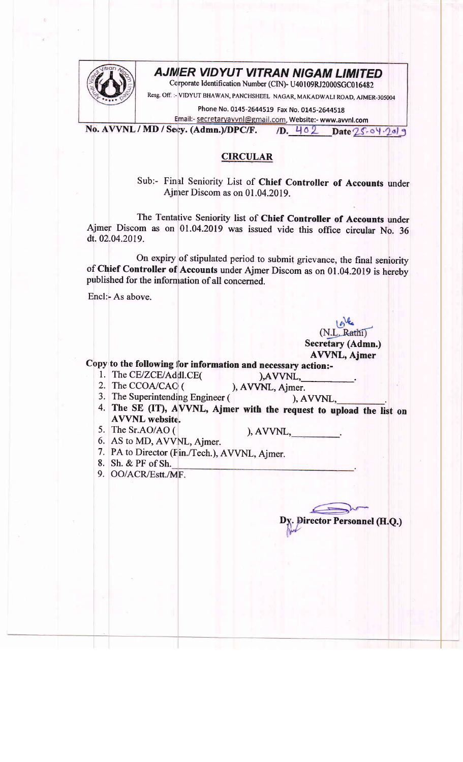

## AJMER VIDYUT VITRAN NIGAM LIMITED

Corporate Identification Number (CIN)- U40109RJ2000SGC016482

Resg. off. :- VIDYUT BHAWAN, PANCHSHEEL NAGAR, MAKADWAL| ROAD, AJMER-305004

Phone No. 0145-2644519 Fax No. 0145-2644518

Email:- secretaryavvnl@gmail.com, Website:- www.avvnl.com No. AVVNL / MD / Secy. (Admn.)/DPC/F. 1D. 402 Date 25-04-2019

## CIRCULAR

Sub:- Final Seniority List of Chief Controller of Accounts under Ajnrer Discom as on 01.04.2019.

The Tentative Seniority list of Chief Controller of Accounts under Ajmer Discom as on 01.04.2019 was issued vide this office circular No. 36 dt. 02.04.2019.

On expiry of stipulated period to submit grievance, the final seniority of Chief Controller of Accounts under Ajmer Discom as on 01.04.2019 is hereby published for the information of all concerned.

Encl.- As above.

(N.L. Rathi) Secretary (Admn.) AVVNL, Ajmer

Copy to the following for information and necessary action:-<br>1. The CE/ZCE/Addl.CE(example  $AVVNL$ ,

- 
- 1. The CE/ZCE/Addl.CE(
(
), AVVNL, 2. The CCOA/CAC (
), AVVNL, Ajmer.

- 3. The Superintending Engineer ( ), AVVNL,
- 4. The SE (IT), AVVNL, Ajmer with the request to upload the list on AVVNL website.  $5.$  The Sr.AO/AO ( ), AVVNL,  $\qquad \qquad .$
- 

- AS to MD, AWNL, Ajmer. 6.
- 7. PA to Director (Fin./Tech.), AVVNL, Ajmer.
- 8. Sh. & PF of Sh.
- 9. OO/ACR/Estt./MF.

Director Personnel (H.Q.)